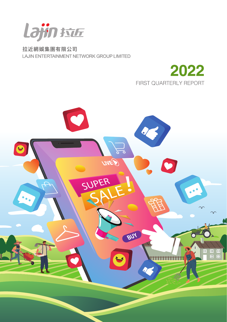

拉近網娛集團有限公司 LAJIN ENTERTAINMENT NETWORK GROUP LIMITED



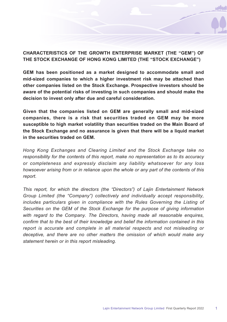### **CHARACTERISTICS OF THE GROWTH ENTERPRISE MARKET (THE "GEM") OF THE STOCK EXCHANGE OF HONG KONG LIMITED (THE "STOCK EXCHANGE")**

**GEM has been positioned as a market designed to accommodate small and mid-sized companies to which a higher investment risk may be attached than other companies listed on the Stock Exchange. Prospective investors should be aware of the potential risks of investing in such companies and should make the decision to invest only after due and careful consideration.**

**Given that the companies listed on GEM are generally small and mid-sized companies, there is a risk that securities traded on GEM may be more susceptible to high market volatility than securities traded on the Main Board of the Stock Exchange and no assurance is given that there will be a liquid market in the securities traded on GEM.**

*Hong Kong Exchanges and Clearing Limited and the Stock Exchange take no responsibility for the contents of this report, make no representation as to its accuracy or completeness and expressly disclaim any liability whatsoever for any loss howsoever arising from or in reliance upon the whole or any part of the contents of this report.*

*This report, for which the directors (the "Directors") of Lajin Entertainment Network Group Limited (the "Company") collectively and individually accept responsibility,*  includes particulars given in compliance with the Rules Governing the Listing of *Securities on the GEM of the Stock Exchange for the purpose of giving information with regard to the Company. The Directors, having made all reasonable enquires, confirm that to the best of their knowledge and belief the information contained in this report is accurate and complete in all material respects and not misleading or deceptive, and there are no other matters the omission of which would make any statement herein or in this report misleading.*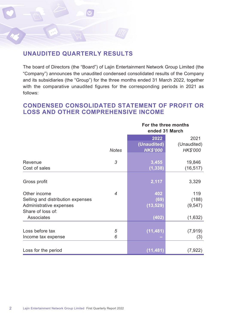

# **UNAUDITED QUARTERLY RESULTS**

The board of Directors (the "Board") of Lajin Entertainment Network Group Limited (the "Company") announces the unaudited condensed consolidated results of the Company and its subsidiaries (the "Group") for the three months ended 31 March 2022, together with the comparative unaudited figures for the corresponding periods in 2021 as follows:

# **CONDENSED CONSOLIDATED STATEMENT OF PROFIT OR LOSS AND OTHER COMPREHENSIVE INCOME**

|                                   |                | For the three months<br>ended 31 March<br>2022<br>2021 |             |  |
|-----------------------------------|----------------|--------------------------------------------------------|-------------|--|
|                                   |                |                                                        |             |  |
|                                   |                | (Unaudited)                                            | (Unaudited) |  |
|                                   | <b>Notes</b>   | <b>HK\$'000</b>                                        | HK\$'000    |  |
| Revenue                           | 3              | 3,455                                                  | 19,846      |  |
| Cost of sales                     |                | (1, 338)                                               | (16, 517)   |  |
|                                   |                |                                                        |             |  |
| Gross profit                      |                | 2,117                                                  | 3,329       |  |
| Other income                      | $\overline{4}$ | 402                                                    | 119         |  |
| Selling and distribution expenses |                | (69)                                                   | (188)       |  |
| Administrative expenses           |                | (13, 529)                                              | (9, 547)    |  |
| Share of loss of:                 |                |                                                        |             |  |
| Associates                        |                | (402)                                                  | (1,632)     |  |
|                                   |                |                                                        |             |  |
| Loss before tax                   | 5              | (11, 481)                                              | (7, 919)    |  |
| Income tax expense                | 6              |                                                        | (3)         |  |
|                                   |                |                                                        |             |  |
| Loss for the period               |                | (11, 481)                                              | (7, 922)    |  |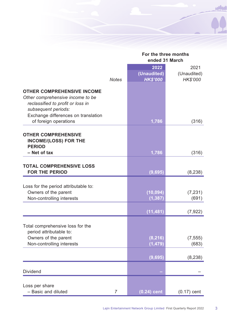|                                                                                                                                                                                                   |       | For the three months<br>ended 31 March |                 |  |
|---------------------------------------------------------------------------------------------------------------------------------------------------------------------------------------------------|-------|----------------------------------------|-----------------|--|
|                                                                                                                                                                                                   |       | 2022                                   | 2021            |  |
|                                                                                                                                                                                                   |       | (Unaudited)                            | (Unaudited)     |  |
|                                                                                                                                                                                                   | Notes | <b>HK\$'000</b>                        | <b>HK\$'000</b> |  |
| <b>OTHER COMPREHENSIVE INCOME</b><br>Other comprehensive income to be<br>reclassified to profit or loss in<br>subsequent periods:<br>Exchange differences on translation<br>of foreign operations |       | 1,786                                  | (316)           |  |
| <b>OTHER COMPREHENSIVE</b><br><b>INCOME/(LOSS) FOR THE</b><br><b>PERIOD</b>                                                                                                                       |       |                                        |                 |  |
| - Net of tax                                                                                                                                                                                      |       | 1,786                                  | (316)           |  |
| <b>TOTAL COMPREHENSIVE LOSS</b><br><b>FOR THE PERIOD</b>                                                                                                                                          |       | (9,695)                                | (8, 238)        |  |
|                                                                                                                                                                                                   |       |                                        |                 |  |
| Loss for the period attributable to:                                                                                                                                                              |       |                                        |                 |  |
| Owners of the parent                                                                                                                                                                              |       | (10, 094)                              | (7, 231)        |  |
| Non-controlling interests                                                                                                                                                                         |       | (1, 387)                               | (691)           |  |
|                                                                                                                                                                                                   |       | (11, 481)                              | (7, 922)        |  |
| Total comprehensive loss for the<br>period attributable to:                                                                                                                                       |       |                                        |                 |  |
| Owners of the parent                                                                                                                                                                              |       | (8, 216)                               | (7, 555)        |  |
| Non-controlling interests                                                                                                                                                                         |       | (1, 479)                               | (683)           |  |
|                                                                                                                                                                                                   |       | (9,695)                                | (8, 238)        |  |
| Dividend                                                                                                                                                                                          |       |                                        |                 |  |
| Loss per share<br>– Basic and diluted                                                                                                                                                             | 7     | $(0.24)$ cent                          | $(0.17)$ cent   |  |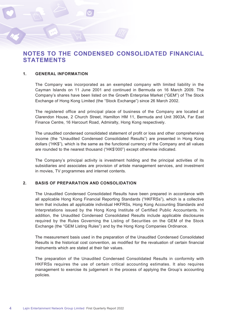# **NOTES TO THE CONDENSED CONSOLIDATED FINANCIAL STATEMENTS**

#### **1. GENERAL INFORMATION**

The Company was incorporated as an exempted company with limited liability in the Cayman Islands on 11 June 2001 and continued in Bermuda on 16 March 2009. The Company's shares have been listed on the Growth Enterprise Market ("GEM") of The Stock Exchange of Hong Kong Limited (the "Stock Exchange") since 26 March 2002.

The registered office and principal place of business of the Company are located at Clarendon House, 2 Church Street, Hamilton HM 11, Bermuda and Unit 3903A, Far East Finance Centre, 16 Harcourt Road, Admiralty, Hong Kong respectively.

The unaudited condensed consolidated statement of profit or loss and other comprehensive income (the "Unaudited Condensed Consolidated Results") are presented in Hong Kong dollars ("HK\$"), which is the same as the functional currency of the Company and all values are rounded to the nearest thousand ("HK\$'000") except otherwise indicated.

The Company's principal activity is investment holding and the principal activities of its subsidiaries and associates are provision of artiste management services, and investment in movies, TV programmes and internet contents.

#### **2. BASIS OF PREPARATION AND CONSOLIDATION**

The Unaudited Condensed Consolidated Results have been prepared in accordance with all applicable Hong Kong Financial Reporting Standards ("HKFRSs"), which is a collective term that includes all applicable individual HKFRSs, Hong Kong Accounting Standards and Interpretations issued by the Hong Kong Institute of Certified Public Accountants. In addition, the Unaudited Condensed Consolidated Results include applicable disclosures required by the Rules Governing the Listing of Securities on the GEM of the Stock Exchange (the "GEM Listing Rules") and by the Hong Kong Companies Ordinance.

The measurement basis used in the preparation of the Unaudited Condensed Consolidated Results is the historical cost convention, as modified for the revaluation of certain financial instruments which are stated at their fair values.

The preparation of the Unaudited Condensed Consolidated Results in conformity with HKFRSs requires the use of certain critical accounting estimates. It also requires management to exercise its judgement in the process of applying the Group's accounting policies.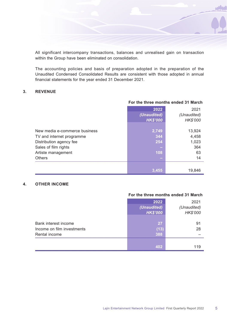All significant intercompany transactions, balances and unrealised gain on transaction within the Group have been eliminated on consolidation.

The accounting policies and basis of preparation adopted in the preparation of the Unaudited Condensed Consolidated Results are consistent with those adopted in annual financial statements for the year ended 31 December 2021.

#### **3. REVENUE**

|                               | For the three months ended 31 March |                 |  |  |
|-------------------------------|-------------------------------------|-----------------|--|--|
|                               | 2022                                | 2021            |  |  |
|                               | (Unaudited)                         | (Unaudited)     |  |  |
|                               | <b>HK\$'000</b>                     | <b>HK\$'000</b> |  |  |
|                               |                                     |                 |  |  |
| New media e-commerce business | 2,749                               | 13,924          |  |  |
| TV and internet programme     | 344                                 | 4,458           |  |  |
| Distribution agency fee       | 254                                 | 1,023           |  |  |
| Sales of film rights          |                                     | 364             |  |  |
| Artiste management            | 108                                 | 63              |  |  |
| <b>Others</b>                 | ÷                                   | 14              |  |  |
|                               |                                     |                 |  |  |
|                               | 3,455                               | 19,846          |  |  |

### **4. OTHER INCOME**

#### **For the three months ended 31 March**

|                                                                     | 2022<br>(Unaudited)<br><b>HK\$'000</b> | 2021<br>(Unaudited)<br>HK\$'000 |
|---------------------------------------------------------------------|----------------------------------------|---------------------------------|
| Bank interest income<br>Income on film investments<br>Rental income | 27<br>(13)<br>388                      | 91<br>28                        |
|                                                                     | 402                                    | 119                             |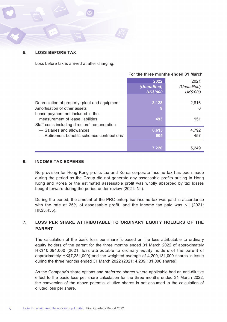

#### **5. LOSS BEFORE TAX**

Loss before tax is arrived at after charging:

|  |  | For the three months ended 31 March |  |  |  |
|--|--|-------------------------------------|--|--|--|
|--|--|-------------------------------------|--|--|--|

|                                               | 2022            | 2021            |
|-----------------------------------------------|-----------------|-----------------|
|                                               | (Unaudited)     | (Unaudited)     |
|                                               | <b>HK\$'000</b> | <b>HK\$'000</b> |
|                                               |                 |                 |
| Depreciation of property, plant and equipment | 3,128           | 2.816           |
| Amortisation of other assets                  | 9               | 6               |
| Lease payment not included in the             |                 |                 |
| measurement of lease liabilities              | 493             | 151             |
| Staff costs including directors' remuneration |                 |                 |
| - Salaries and allowances                     | 6,615           | 4,792           |
| - Retirement benefits schemes contributions   | 605             | 457             |
|                                               |                 |                 |
|                                               | 7.220           | 5,249           |

#### **6. INCOME TAX EXPENSE**

No provision for Hong Kong profits tax and Korea corporate income tax has been made during the period as the Group did not generate any assessable profits arising in Hong Kong and Korea or the estimated assessable profit was wholly absorbed by tax losses bought forward during the period under review (2021: Nil).

During the period, the amount of the PRC enterprise income tax was paid in accordance with the rate at 25% of assessable profit, and the income tax paid was Nil (2021: HK\$3,455).

### **7. LOSS PER SHARE ATTRIBUTABLE TO ORDINARY EQUITY HOLDERS OF THE PARENT**

The calculation of the basic loss per share is based on the loss attributable to ordinary equity holders of the parent for the three months ended 31 March 2022 of approximately HK\$10,094,000 (2021: loss attributable to ordinary equity holders of the parent of approximately HK\$7,231,000) and the weighted average of 4,209,131,000 shares in issue during the three months ended 31 March 2022 (2021: 4,209,131,000 shares).

As the Company's share options and preferred shares where applicable had an anti-dilutive effect to the basic loss per share calculation for the three months ended 31 March 2022, the conversion of the above potential dilutive shares is not assumed in the calculation of diluted loss per share.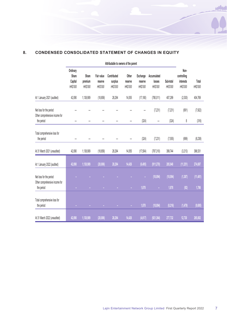### **8. CONDENSED CONSOLIDATED STATEMENT OF CHANGES IN EQUITY**

|                                                                         | Attributable to owners of the parent           |                                    |                                         |                                   |                              |                                 |                                  |                             |                                                    |                   |
|-------------------------------------------------------------------------|------------------------------------------------|------------------------------------|-----------------------------------------|-----------------------------------|------------------------------|---------------------------------|----------------------------------|-----------------------------|----------------------------------------------------|-------------------|
|                                                                         | Ordinary<br>Share<br>Capital<br><b>HKS'000</b> | Share<br>premium<br><b>HKS'000</b> | Fair value<br>reserve<br><b>HKS'000</b> | Contributed<br>surplus<br>HKS'000 | Other<br>reserve<br>HK\$'000 | Exchange<br>reserve<br>HK\$'000 | Accumulated<br>losses<br>HKS'000 | Sub-total<br><b>HKS'000</b> | Non-<br>controlling<br>interests<br><b>HKS'000</b> | Total<br>HKS'000  |
| At 1 January 2021 (audited)                                             | 42,090                                         | 1,138,909                          | (18, 858)                               | 28,294                            | 14,055                       | (17, 180)                       | (780, 011)                       | 407,299                     | (2,530)                                            | 404,769           |
| Net loss for the period<br>Other comprehensive income for<br>the period |                                                |                                    |                                         |                                   | $\overline{\phantom{0}}$     | (324)                           | (7, 231)                         | (7, 231)<br>(324)           | (691)<br>8                                         | (7, 922)<br>(316) |
| Total comprehensive loss for<br>the period                              |                                                |                                    |                                         |                                   |                              | (324)                           | (7,231)                          | (7,555)                     | (699)                                              | (8, 238)          |
| At 31 March 2021 (unaudited)                                            | 42,090                                         | 1,138,909                          | (18, 858)                               | 28,294                            | 14,055                       | (17,504)                        | (787, 310)                       | 399,744                     | (3,213)                                            | 396,531           |
| At 1 January 2022 (audited)                                             | 42,090                                         | 1,138,909                          | (20,006)                                | 28,294                            | 14,426                       | (6, 495)                        | (911, 270)                       | 285,948                     | (11, 251)                                          | 274,697           |
| Net loss for the period<br>Other comprehensive income for<br>the period | ٠                                              | ٠                                  | ۰                                       |                                   | ٠                            | 1,878                           | (10, 094)<br>٠                   | (10, 094)<br>1,878          | (1, 387)<br>(92)                                   | (11,481)<br>1,786 |
| Total comprehensive loss for<br>the period                              | ٠                                              |                                    |                                         |                                   |                              | 1,878                           | (10,094)                         | (8, 216)                    | (1,479)                                            | (9,695)           |
| At 31 March 2022 (unaudited)                                            | 42.090                                         | 1,138,909                          | (20,006)                                | 28,294                            | 14,426                       | (4, 617)                        | (921, 364)                       | 277.732                     | 12,730                                             | 265,002           |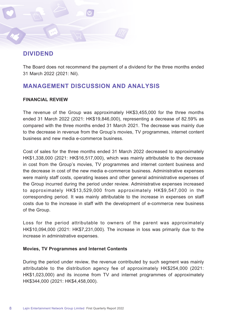# **DIVIDEND**

The Board does not recommend the payment of a dividend for the three months ended 31 March 2022 (2021: Nil).

# **MANAGEMENT DISCUSSION AND ANALYSIS**

### **FINANCIAL REVIEW**

The revenue of the Group was approximately HK\$3,455,000 for the three months ended 31 March 2022 (2021: HK\$19,846,000), representing a decrease of 82.59% as compared with the three months ended 31 March 2021. The decrease was mainly due to the decrease in revenue from the Group's movies, TV programmes, internet content business and new media e-commerce business.

Cost of sales for the three months ended 31 March 2022 decreased to approximately HK\$1,338,000 (2021: HK\$16,517,000), which was mainly attributable to the decrease in cost from the Group's movies, TV programmes and internet content business and the decrease in cost of the new media e-commerce business. Administrative expenses were mainly staff costs, operating leases and other general administrative expenses of the Group incurred during the period under review. Administrative expenses increased to approximately HK\$13,529,000 from approximately HK\$9,547,000 in the corresponding period. It was mainly attributable to the increase in expenses on staff costs due to the increase in staff with the development of e-commerce new business of the Group.

Loss for the period attributable to owners of the parent was approximately HK\$10,094,000 (2021: HK\$7,231,000). The increase in loss was primarily due to the increase in administrative expenses.

### **Movies, TV Programmes and Internet Contents**

During the period under review, the revenue contributed by such segment was mainly attributable to the distribution agency fee of approximately HK\$254,000 (2021: HK\$1,023,000) and its income from TV and internet programmes of approximately HK\$344,000 (2021: HK\$4,458,000).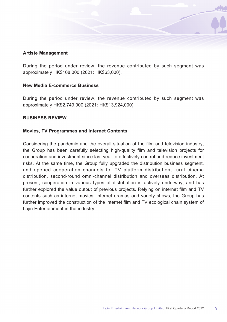### **Artiste Management**

During the period under review, the revenue contributed by such segment was approximately HK\$108,000 (2021: HK\$63,000).

### **New Media E-commerce Business**

During the period under review, the revenue contributed by such segment was approximately HK\$2,749,000 (2021: HK\$13,924,000).

### **BUSINESS REVIEW**

### **Movies, TV Programmes and Internet Contents**

Considering the pandemic and the overall situation of the film and television industry, the Group has been carefully selecting high-quality film and television projects for cooperation and investment since last year to effectively control and reduce investment risks. At the same time, the Group fully upgraded the distribution business segment, and opened cooperation channels for TV platform distribution, rural cinema distribution, second-round omni-channel distribution and overseas distribution. At present, cooperation in various types of distribution is actively underway, and has further explored the value output of previous projects. Relying on internet film and TV contents such as internet movies, internet dramas and variety shows, the Group has further improved the construction of the internet film and TV ecological chain system of Lajin Entertainment in the industry.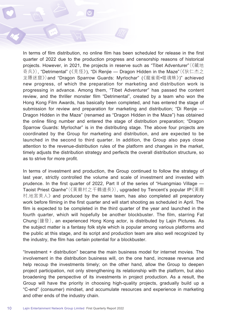In terms of film distribution, no online film has been scheduled for release in the first quarter of 2022 due to the production progress and censorship reasons of historical projects. However, in 2021, the projects in reserve such as "Tibet Adventurer"(《藏地 奇兵》), "Detrimental" (《見怪》), "Di Renjie — Dragon Hidden in the Maze"(《狄仁杰之 龙隱迷窟》)and "Dragon Sparrow Guards: Myrlochar" (《龍雀衛•噬魂蛛》)" achieved new progress, of which the preparation for marketing and distribution work is progressing in advance. Among them, "Tibet Adventurer" has passed the content review, and the thriller monster film "Detrimental", created by a team who won the Hong Kong Film Awards, has basically been completed, and has entered the stage of submission for review and preparation for marketing and distribution; "Di Renjie — Dragon Hidden in the Maze" (renamed as "Dragon Hidden in the Maze") has obtained the online filing number and entered the stage of distribution preparation; "Dragon Sparrow Guards: Myrlochar" is in the distributing stage. The above four projects are coordinated by the Group for marketing and distribution, and are expected to be launched in the second to third quarter. In addition, the Group also pays close attention to the revenue-distribution rules of the platform and changes in the market, timely adjusts the distribution strategy and perfects the overall distribution structure, so as to strive for more profit.

In terms of investment and production, the Group continued to follow the strategy of last year, strictly controlled the volume and scale of investment and invested with prudence. In the first quarter of 2022, Part II of the series of "Huangmiao Village — Taoist Priest Qianhe"(《黃廟村之千鶴道長》), upgraded by Tencent's popular IP《黃廟 村.地宮美人》 and produced by the same team, has also completed all preparatory work before filming in the first quarter and will start shooting as scheduled in April. The film is expected to be completed in the third quarter of the year and launched in the fourth quarter, which will hopefully be another blockbuster. The film, starring Fat Chung(鐘發), an experienced Hong Kong actor, is distributed by Lajin Pictures. As the subject matter is a fantasy folk style which is popular among various platforms and the public at this stage, and its script and production team are also well recognized by the industry, the film has certain potential for a blockbuster.

"Investment + distribution" became the main business model for internet movies. The involvement in the distribution business will, on the one hand, increase revenue and help recoup the investments timely; on the other hand, allow the Group to deepen project participation, not only strengthening its relationship with the platform, but also broadening the perspective of its investments in project production. As a result, the Group will have the priority in choosing high-quality projects, gradually build up a "C-end" (consumer) mindset, and accumulate resources and experience in marketing and other ends of the industry chain.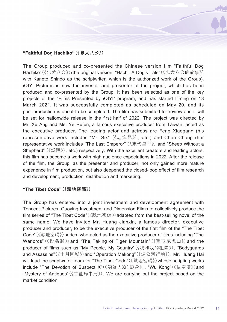### **"Faithful Dog Hachiko"(《忠犬八公》)**

The Group produced and co-presented the Chinese version film "Faithful Dog Hachiko"(《忠犬八公》)(the original version: "Hachi: A Dog's Tale"(《忠犬八公的故事》) with Kaneto Shindo as the scriptwriter, which is the authorized work of the Group). iQIYI Pictures is now the investor and presenter of the project, which has been produced and co-presented by the Group. It has been selected as one of the key projects of the "Films Presented by iQIYI" program, and has started filming on 18 March 2021. It was successfully completed as scheduled on May 20, and its post-production is about to be completed. The film has submitted for review and it will be set for nationwide release in the first half of 2022. The project was directed by Mr. Xu Ang and Ms. Ye Rufen, a famous executive producer from Taiwan, acted as the executive producer. The leading actor and actress are Feng Xiaogang (his representative work includes "Mr. Six" (《老炮兒》), etc.) and Chen Chong (her representative work includes "The Last Emperor" (《末代皇帝》) and "Sheep Without a Shepherd" (《誤殺》), etc.) respectively. With the excellent creators and leading actors, this film has become a work with high audience expectations in 2022. After the release of the film, the Group, as the presenter and producer, not only gained more mature experience in film production, but also deepened the closed-loop effect of film research and development, production, distribution and marketing.

### **"The Tibet Code"(《藏地密碼》)**

The Group has entered into a joint investment and development agreement with Tencent Pictures, Guoying Investment and Dimension Films to collectively produce the film series of "The Tibet Code"(《藏地密碼》)adapted from the best-selling novel of the same name. We have invited Mr. Huang Jianxin, a famous director, executive producer and producer, to be the executive producer of the first film of the "The Tibet Code"(《藏地密碼》)series, who acted as the executive producer of films including "The Warlords"(《投名狀》)and "The Taking of Tiger Mountain"(《智取威虎山》)and the producer of films such as "My People, My Country"(《我和我的祖國》), "Bodyguards and Assassins"(《十月圍城》)and "Operation Mekong"(《湄公河行動》). Mr. Huang Hai will lead the scriptwriter team for "The Tibet Code"(《藏地密碼》)whose scripting works include "The Devotion of Suspect X"(《嫌疑人X的獻身》), "Wu Kong"(《悟空傳》)and "Mystery of Antiques"(《古董局中局》). We are carrying out the project based on the market condition.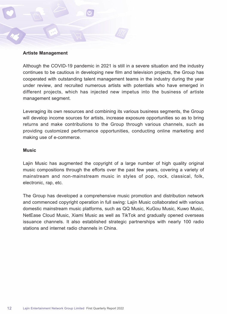#### **Artiste Management**

Although the COVID-19 pandemic in 2021 is still in a severe situation and the industry continues to be cautious in developing new film and television projects, the Group has cooperated with outstanding talent management teams in the industry during the year under review, and recruited numerous artists with potentials who have emerged in different projects, which has injected new impetus into the business of artiste management segment.

Leveraging its own resources and combining its various business segments, the Group will develop income sources for artists, increase exposure opportunities so as to bring returns and make contributions to the Group through various channels, such as providing customized performance opportunities, conducting online marketing and making use of e-commerce.

#### **Music**

Lajin Music has augmented the copyright of a large number of high quality original music compositions through the efforts over the past few years, covering a variety of mainstream and non-mainstream music in styles of pop, rock, classical, folk, electronic, rap, etc.

The Group has developed a comprehensive music promotion and distribution network and commenced copyright operation in full swing: Lajin Music collaborated with various domestic mainstream music platforms, such as QQ Music, KuGou Music, Kuwo Music, NetEase Cloud Music, Xiami Music as well as TikTok and gradually opened overseas issuance channels. It also established strategic partnerships with nearly 100 radio stations and internet radio channels in China.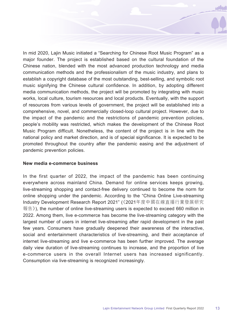In mid 2020, Lajin Music initiated a "Searching for Chinese Root Music Program" as a major founder. The project is established based on the cultural foundation of the Chinese nation, blended with the most advanced production technology and media communication methods and the professionalism of the music industry, and plans to establish a copyright database of the most outstanding, best-selling, and symbolic root music signifying the Chinese cultural confidence. In addition, by adopting different media communication methods, the project will be promoted by integrating with music works, local culture, tourism resources and local products. Eventually, with the support of resources from various levels of government, the project will be established into a comprehensive, novel, and commercially closed-loop cultural project. However, due to the impact of the pandemic and the restrictions of pandemic prevention policies, people's mobility was restricted, which makes the development of the Chinese Root Music Program difficult. Nonetheless, the content of the project is in line with the national policy and market direction, and is of special significance. It is expected to be promoted throughout the country after the pandemic easing and the adjustment of pandemic prevention policies.

#### **New media e-commerce business**

In the first quarter of 2022, the impact of the pandemic has been continuing everywhere across mainland China. Demand for online services keeps growing, live-streaming shopping and contact-free delivery continued to become the norm for online shopping under the pandemic. According to the "China Online Live-streaming Industry Development Research Report 2021" (《2021年度中國在線直播行業發展研究 報告》), the number of online live-streaming users is expected to exceed 660 million in 2022. Among them, live e-commerce has become the live-streaming category with the largest number of users in internet live-streaming after rapid development in the past few years. Consumers have gradually deepened their awareness of the interactive, social and entertainment characteristics of live-streaming, and their acceptance of internet live-streaming and live e-commerce has been further improved. The average daily view duration of live-streaming continues to increase, and the proportion of live e-commerce users in the overall Internet users has increased significantly. Consumption via live-streaming is recognized increasingly.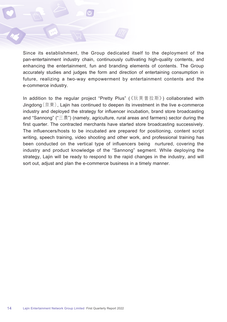Since its establishment, the Group dedicated itself to the deployment of the pan-entertainment industry chain, continuously cultivating high-quality contents, and enhancing the entertainment, fun and branding elements of contents. The Group accurately studies and judges the form and direction of entertaining consumption in future, realizing a two-way empowerment by entertainment contents and the e-commerce industry.

In addition to the regular project "Pretty Plus" (《玩美普拉斯》) collaborated with Jingdong(京東), Lajin has continued to deepen its investment in the live e-commerce industry and deployed the strategy for influencer incubation, brand store broadcasting and "Sannong" ("三農") (namely, agriculture, rural areas and farmers) sector during the first quarter. The contracted merchants have started store broadcasting successively. The influencers/hosts to be incubated are prepared for positioning, content script writing, speech training, video shooting and other work, and professional training has been conducted on the vertical type of influencers being nurtured, covering the industry and product knowledge of the "Sannong" segment. While deploying the strategy, Lajin will be ready to respond to the rapid changes in the industry, and will sort out, adjust and plan the e-commerce business in a timely manner.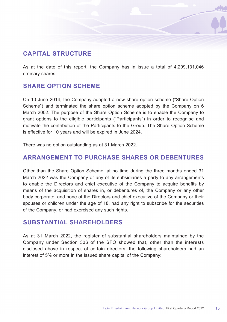# **CAPITAL STRUCTURE**

As at the date of this report, the Company has in issue a total of 4,209,131,046 ordinary shares.

### **SHARE OPTION SCHEME**

On 10 June 2014, the Company adopted a new share option scheme ("Share Option Scheme") and terminated the share option scheme adopted by the Company on 6 March 2002. The purpose of the Share Option Scheme is to enable the Company to grant options to the eligible participants ("Participants") in order to recognise and motivate the contribution of the Participants to the Group. The Share Option Scheme is effective for 10 years and will be expired in June 2024.

There was no option outstanding as at 31 March 2022.

# **ARRANGEMENT TO PURCHASE SHARES OR DEBENTURES**

Other than the Share Option Scheme, at no time during the three months ended 31 March 2022 was the Company or any of its subsidiaries a party to any arrangements to enable the Directors and chief executive of the Company to acquire benefits by means of the acquisition of shares in, or debentures of, the Company or any other body corporate, and none of the Directors and chief executive of the Company or their spouses or children under the age of 18, had any right to subscribe for the securities of the Company, or had exercised any such rights.

### **SUBSTANTIAL SHAREHOLDERS**

As at 31 March 2022, the register of substantial shareholders maintained by the Company under Section 336 of the SFO showed that, other than the interests disclosed above in respect of certain directors, the following shareholders had an interest of 5% or more in the issued share capital of the Company: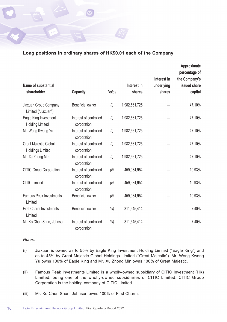

| Name of substantial<br>shareholder               | Capacity                              | <b>Notes</b> | Interest in<br>shares | Interest in<br>underlying<br>shares | Approximate<br>percentage of<br>the Company's<br>issued share<br>capital |
|--------------------------------------------------|---------------------------------------|--------------|-----------------------|-------------------------------------|--------------------------------------------------------------------------|
| Jiaxuan Group Company<br>Limited ("Jiaxuan")     | Beneficial owner                      | (i)          | 1,982,561,725         |                                     | 47.10%                                                                   |
| Eagle King Investment<br><b>Holding Limited</b>  | Interest of controlled<br>corporation | (i)          | 1,982,561,725         |                                     | 47.10%                                                                   |
| Mr. Wong Kwong Yu                                | Interest of controlled<br>corporation | (i)          | 1,982,561,725         |                                     | 47.10%                                                                   |
| Great Majestic Global<br><b>Holdings Limited</b> | Interest of controlled<br>corporation | (i)          | 1,982,561,725         |                                     | 47.10%                                                                   |
| Mr. Xu Zhong Min                                 | Interest of controlled<br>corporation | (i)          | 1,982,561,725         |                                     | 47.10%                                                                   |
| CITIC Group Corporation                          | Interest of controlled<br>corporation | (ii)         | 459,934,954           |                                     | 10.93%                                                                   |
| <b>CITIC Limited</b>                             | Interest of controlled<br>corporation | (ii)         | 459,934,954           |                                     | 10.93%                                                                   |
| <b>Famous Peak Investments</b><br>Limited        | Beneficial owner                      | (ii)         | 459,934,954           |                                     | 10.93%                                                                   |
| <b>First Charm Investments</b><br>Limited        | Beneficial owner                      | (iii)        | 311,545,414           |                                     | 7.40%                                                                    |
| Mr. Ko Chun Shun, Johnson                        | Interest of controlled<br>corporation | (iii)        | 311,545,414           |                                     | 7.40%                                                                    |

#### *Notes:*

- (i) Jiaxuan is owned as to 55% by Eagle King Investment Holding Limited ("Eagle King") and as to 45% by Great Majestic Global Holdings Limited ("Great Majestic"). Mr. Wong Kwong Yu owns 100% of Eagle King and Mr. Xu Zhong Min owns 100% of Great Majestic.
- (ii) Famous Peak Investments Limited is a wholly-owned subsidiary of CITIC Investment (HK) Limited, being one of the wholly-owned subsidiaries of CITIC Limited. CITIC Group Corporation is the holding company of CITIC Limited.
- (iii) Mr. Ko Chun Shun, Johnson owns 100% of First Charm.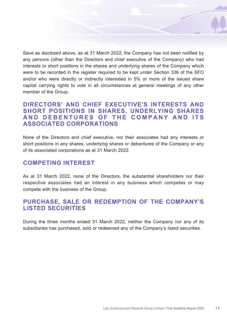Save as disclosed above, as at 31 March 2022, the Company has not been notified by any persons (other than the Directors and chief executive of the Company) who had interests or short positions in the shares and underlying shares of the Company which were to be recorded in the register required to be kept under Section 336 of the SFO and/or who were directly or indirectly interested in 5% or more of the issued share capital carrying rights to vote in all circumstances at general meetings of any other member of the Group.

# **DIRECTORS' AND CHIEF EXECUTIVE'S INTERESTS AND SHORT POSITIONS IN SHARES, UNDERLYING SHARES AND DEBENTURES OF THE COMPANY AND ITS ASSOCIATED CORPORATIONS**

None of the Directors and chief executive, nor their associates had any interests or short positions in any shares, underlying shares or debentures of the Company or any of its associated corporations as at 31 March 2022.

### **COMPETING INTEREST**

As at 31 March 2022, none of the Directors, the substantial shareholders nor their respective associates had an interest in any business which competes or may compete with the business of the Group.

# **PURCHASE, SALE OR REDEMPTION OF THE COMPANY'S LISTED SECURITIES**

During the three months ended 31 March 2022, neither the Company nor any of its subsidiaries has purchased, sold or redeemed any of the Company's listed securities.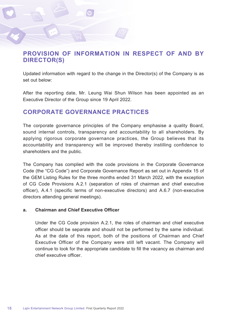# **PROVISION OF INFORMATION IN RESPECT OF AND BY DIRECTOR(S)**

Updated information with regard to the change in the Director(s) of the Company is as set out below:

After the reporting date, Mr. Leung Wai Shun Wilson has been appointed as an Executive Director of the Group since 19 April 2022.

# **CORPORATE GOVERNANCE PRACTICES**

The corporate governance principles of the Company emphasise a quality Board, sound internal controls, transparency and accountability to all shareholders. By applying rigorous corporate governance practices, the Group believes that its accountability and transparency will be improved thereby instilling confidence to shareholders and the public.

The Company has complied with the code provisions in the Corporate Governance Code (the "CG Code") and Corporate Governance Report as set out in Appendix 15 of the GEM Listing Rules for the three months ended 31 March 2022, with the exception of CG Code Provisions A.2.1 (separation of roles of chairman and chief executive officer), A.4.1 (specific terms of non-executive directors) and A.6.7 (non-executive directors attending general meetings).

### **a. Chairman and Chief Executive Officer**

Under the CG Code provision A.2.1, the roles of chairman and chief executive officer should be separate and should not be performed by the same individual. As at the date of this report, both of the positions of Chairman and Chief Executive Officer of the Company were still left vacant. The Company will continue to look for the appropriate candidate to fill the vacancy as chairman and chief executive officer.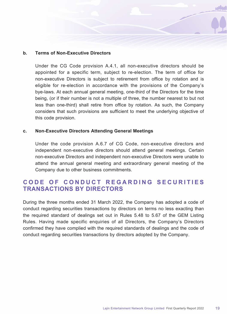### **b. Terms of Non-Executive Directors**

Under the CG Code provision A.4.1, all non-executive directors should be appointed for a specific term, subject to re-election. The term of office for non-executive Directors is subject to retirement from office by rotation and is eligible for re-election in accordance with the provisions of the Company's bye-laws. At each annual general meeting, one-third of the Directors for the time being, (or if their number is not a multiple of three, the number nearest to but not less than one-third) shall retire from office by rotation. As such, the Company considers that such provisions are sufficient to meet the underlying objective of this code provision.

### **c. Non-Executive Directors Attending General Meetings**

Under the code provision A.6.7 of CG Code, non-executive directors and independent non-executive directors should attend general meetings. Certain non-executive Directors and independent non-executive Directors were unable to attend the annual general meeting and extraordinary general meeting of the Company due to other business commitments.

# **C O D E O F C O N D U C T R E G A R D I N G S E C U R I T I E S TRANSACTIONS BY DIRECTORS**

During the three months ended 31 March 2022, the Company has adopted a code of conduct regarding securities transactions by directors on terms no less exacting than the required standard of dealings set out in Rules 5.48 to 5.67 of the GEM Listing Rules. Having made specific enquiries of all Directors, the Company's Directors confirmed they have complied with the required standards of dealings and the code of conduct regarding securities transactions by directors adopted by the Company.